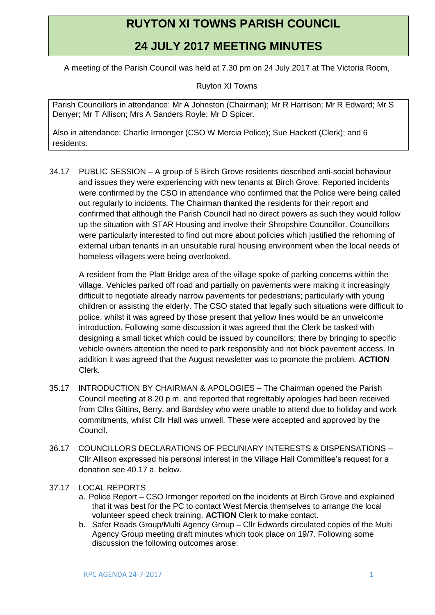## **RUYTON XI TOWNS PARISH COUNCIL**

## **24 JULY 2017 MEETING MINUTES**

A meeting of the Parish Council was held at 7.30 pm on 24 July 2017 at The Victoria Room,

Ruyton XI Towns

Parish Councillors in attendance: Mr A Johnston (Chairman); Mr R Harrison; Mr R Edward; Mr S Denyer; Mr T Allison; Mrs A Sanders Royle; Mr D Spicer.

Also in attendance: Charlie Irmonger (CSO W Mercia Police); Sue Hackett (Clerk); and 6 residents.

34.17 PUBLIC SESSION – A group of 5 Birch Grove residents described anti-social behaviour and issues they were experiencing with new tenants at Birch Grove. Reported incidents were confirmed by the CSO in attendance who confirmed that the Police were being called out regularly to incidents. The Chairman thanked the residents for their report and confirmed that although the Parish Council had no direct powers as such they would follow up the situation with STAR Housing and involve their Shropshire Councillor. Councillors were particularly interested to find out more about policies which justified the rehoming of external urban tenants in an unsuitable rural housing environment when the local needs of homeless villagers were being overlooked.

A resident from the Platt Bridge area of the village spoke of parking concerns within the village. Vehicles parked off road and partially on pavements were making it increasingly difficult to negotiate already narrow pavements for pedestrians; particularly with young children or assisting the elderly. The CSO stated that legally such situations were difficult to police, whilst it was agreed by those present that yellow lines would be an unwelcome introduction. Following some discussion it was agreed that the Clerk be tasked with designing a small ticket which could be issued by councillors; there by bringing to specific vehicle owners attention the need to park responsibly and not block pavement access. In addition it was agreed that the August newsletter was to promote the problem. **ACTION** Clerk.

- 35.17 INTRODUCTION BY CHAIRMAN & APOLOGIES The Chairman opened the Parish Council meeting at 8.20 p.m. and reported that regrettably apologies had been received from Cllrs Gittins, Berry, and Bardsley who were unable to attend due to holiday and work commitments, whilst Cllr Hall was unwell. These were accepted and approved by the Council.
- 36.17 COUNCILLORS DECLARATIONS OF PECUNIARY INTERESTS & DISPENSATIONS Cllr Allison expressed his personal interest in the Village Hall Committee's request for a donation see 40.17 a. below.
- 37.17 LOCAL REPORTS
	- a. Police Report CSO Irmonger reported on the incidents at Birch Grove and explained that it was best for the PC to contact West Mercia themselves to arrange the local volunteer speed check training. **ACTION** Clerk to make contact.
	- b. Safer Roads Group/Multi Agency Group Cllr Edwards circulated copies of the Multi Agency Group meeting draft minutes which took place on 19/7. Following some discussion the following outcomes arose: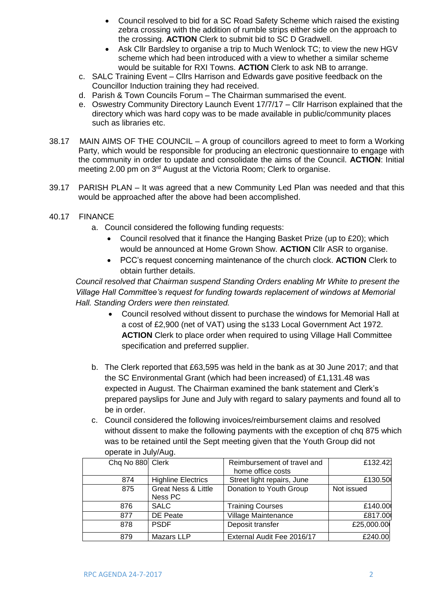- Council resolved to bid for a SC Road Safety Scheme which raised the existing zebra crossing with the addition of rumble strips either side on the approach to the crossing. **ACTION** Clerk to submit bid to SC D Gradwell.
- Ask Cllr Bardsley to organise a trip to Much Wenlock TC; to view the new HGV scheme which had been introduced with a view to whether a similar scheme would be suitable for RXI Towns. **ACTION** Clerk to ask NB to arrange.
- c. SALC Training Event Cllrs Harrison and Edwards gave positive feedback on the Councillor Induction training they had received.
- d. Parish & Town Councils Forum The Chairman summarised the event.
- e. Oswestry Community Directory Launch Event 17/7/17 Cllr Harrison explained that the directory which was hard copy was to be made available in public/community places such as libraries etc.
- 38.17 MAIN AIMS OF THE COUNCIL A group of councillors agreed to meet to form a Working Party, which would be responsible for producing an electronic questionnaire to engage with the community in order to update and consolidate the aims of the Council. **ACTION**: Initial meeting 2.00 pm on 3<sup>rd</sup> August at the Victoria Room; Clerk to organise.
- 39.17 PARISH PLAN It was agreed that a new Community Led Plan was needed and that this would be approached after the above had been accomplished.
- 40.17 FINANCE
	- a. Council considered the following funding requests:
		- Council resolved that it finance the Hanging Basket Prize (up to £20); which would be announced at Home Grown Show. **ACTION** Cllr ASR to organise.
		- PCC's request concerning maintenance of the church clock. **ACTION** Clerk to obtain further details.

*Council resolved that Chairman suspend Standing Orders enabling Mr White to present the Village Hall Committee's request for funding towards replacement of windows at Memorial Hall. Standing Orders were then reinstated.*

- Council resolved without dissent to purchase the windows for Memorial Hall at a cost of £2,900 (net of VAT) using the s133 Local Government Act 1972. **ACTION** Clerk to place order when required to using Village Hall Committee specification and preferred supplier.
- b. The Clerk reported that £63,595 was held in the bank as at 30 June 2017; and that the SC Environmental Grant (which had been increased) of £1,131.48 was expected in August. The Chairman examined the bank statement and Clerk's prepared payslips for June and July with regard to salary payments and found all to be in order.
- c. Council considered the following invoices/reimbursement claims and resolved without dissent to make the following payments with the exception of chq 875 which was to be retained until the Sept meeting given that the Youth Group did not operate in July/Aug.

| Chq No 880 Clerk |                                | Reimbursement of travel and | £132.42    |
|------------------|--------------------------------|-----------------------------|------------|
|                  |                                | home office costs           |            |
| 874              | <b>Highline Electrics</b>      | Street light repairs, June  | £130.50    |
| 875              | <b>Great Ness &amp; Little</b> | Donation to Youth Group     | Not issued |
|                  | Ness PC                        |                             |            |
| 876              | <b>SALC</b>                    | <b>Training Courses</b>     | £140.00    |
| 877              | DE Peate                       | Village Maintenance         | £817.00    |
| 878              | <b>PSDF</b>                    | Deposit transfer            | £25,000.00 |
| 879              | Mazars LLP                     | External Audit Fee 2016/17  | £240.00    |